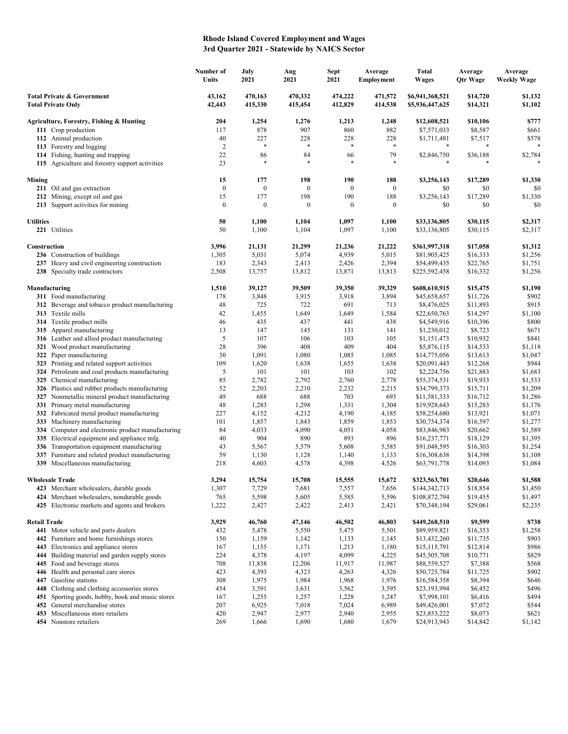## **Rhode Island Covered Employment and Wages 3rd Quarter 2021 - Statewide by NAICS Sector**

|                                                                                  | Number of<br>Units | July<br>2021       | Aug<br>2021        | <b>Sept</b><br>2021 | Average<br><b>Employment</b> | <b>Total</b><br><b>Wages</b>       | Average<br><b>Qtr Wage</b> | Average<br><b>Weekly Wage</b> |
|----------------------------------------------------------------------------------|--------------------|--------------------|--------------------|---------------------|------------------------------|------------------------------------|----------------------------|-------------------------------|
| <b>Total Private &amp; Government</b><br><b>Total Private Only</b>               | 43,162<br>42,443   | 470,163<br>415,330 | 470,332<br>415,454 | 474,222<br>412,829  | 471,572<br>414,538           | \$6,941,368,521<br>\$5,936,447,625 | \$14,720<br>\$14,321       | \$1,132<br>\$1,102            |
| Agriculture, Forestry, Fishing & Hunting                                         | 204                | 1,254              | 1,276              | 1,213               | 1,248                        | \$12,608,521                       | \$10,106                   | \$777                         |
| 111 Crop production                                                              | 117                | 878                | 907                | 860                 | 882                          | \$7,571,033                        | \$8,587                    | \$661                         |
| 112 Animal production                                                            | 40                 | 227                | 228                | 228                 | 228                          | \$1,711,481                        | \$7,517                    | \$578                         |
| 113 Forestry and logging                                                         | $\overline{2}$     | $\ast$             | *                  | $\ast$              | $\ast$                       |                                    | *                          | *                             |
| 114 Fishing, hunting and trapping                                                | 22                 | 86                 | 84<br>$\ast$       | 66                  | 79                           | \$2,846,750                        | \$36,188                   | \$2,784                       |
| 115 Agriculture and forestry support activities                                  | 23                 | $\ast$             |                    | $\ast$              | $\ast$                       |                                    |                            |                               |
| Mining                                                                           | 15                 | 177                | 198                | 190                 | 188                          | \$3,256,143                        | \$17,289                   | \$1,330                       |
| 211 Oil and gas extraction                                                       | $\bf{0}$           | $\boldsymbol{0}$   | $\boldsymbol{0}$   | $\boldsymbol{0}$    | $\bf{0}$                     | \$0                                | \$0                        | \$0                           |
| 212 Mining, except oil and gas                                                   | 15                 | 177                | 198                | 190                 | 188                          | \$3,256,143                        | \$17,289                   | \$1,330                       |
| 213 Support activities for mining                                                | $\boldsymbol{0}$   | $\boldsymbol{0}$   | 0                  | $\boldsymbol{0}$    | $\boldsymbol{0}$             | \$0                                | \$0                        | \$0                           |
| <b>Utilities</b>                                                                 | 50                 | 1,100              | 1,104              | 1,097               | 1,100                        | \$33,136,805                       | \$30,115                   | \$2,317                       |
| 221 Utilities                                                                    | 50                 | 1,100              | 1,104              | 1,097               | 1,100                        | \$33,136,805                       | \$30,115                   | \$2,317                       |
| Construction                                                                     | 3,996              | 21,131             | 21,299             | 21,236              | 21,222                       | \$361,997,318                      | \$17,058                   | \$1,312                       |
| 236 Construction of buildings                                                    | 1,305              | 5,031              | 5,074              | 4,939               | 5,015                        | \$81,905,425                       | \$16,333                   | \$1,256                       |
| 237 Heavy and civil engineering construction                                     | 183                | 2,343              | 2,413              | 2,426               | 2,394                        | \$54,499,435                       | \$22,765                   | \$1,751                       |
| 238 Specialty trade contractors                                                  | 2,508              | 13,757             | 13,812             | 13,871              | 13,813                       | \$225,592,458                      | \$16,332                   | \$1,256                       |
|                                                                                  |                    |                    |                    |                     |                              |                                    |                            |                               |
| Manufacturing<br>311 Food manufacturing                                          | 1,510<br>178       | 39,127<br>3,848    | 39,509<br>3,915    | 39,350<br>3,918     | 39,329<br>3,894              | \$608,610,915                      | \$15,475<br>\$11,726       | \$1,190<br>\$902              |
| 312 Beverage and tobacco product manufacturing                                   | 48                 | 725                | 722                | 691                 | 713                          | \$45,658,657<br>\$8,476,025        | \$11,893                   | \$915                         |
| 313 Textile mills                                                                | 42                 | 1,455              | 1,649              | 1,649               | 1,584                        | \$22,650,763                       | \$14,297                   | \$1,100                       |
| 314 Textile product mills                                                        | 46                 | 435                | 437                | 441                 | 438                          | \$4,549,916                        | \$10,396                   | \$800                         |
| 315 Apparel manufacturing                                                        | 13                 | 147                | 145                | 131                 | 141                          | \$1,230,012                        | \$8,723                    | \$671                         |
| 316 Leather and allied product manufacturing                                     | 5                  | 107                | 106                | 103                 | 105                          | \$1,151,473                        | \$10,932                   | \$841                         |
| 321 Wood product manufacturing                                                   | 28                 | 396                | 408                | 409                 | 404                          | \$5,876,115                        | \$14,533                   | \$1,118                       |
| 322 Paper manufacturing                                                          | 30                 | 1,091              | 1,080              | 1,085               | 1,085                        | \$14,775,056                       | \$13,613                   | \$1,047                       |
| 323 Printing and related support activities                                      | 109                | 1,620              | 1,638              | 1,655               | 1,638                        | \$20,091,443                       | \$12,268                   | \$944                         |
| 324 Petroleum and coal products manufacturing                                    | 5                  | 101                | 101                | 103                 | 102                          | \$2,224,756                        | \$21,883                   | \$1,683                       |
| 325 Chemical manufacturing                                                       | 85                 | 2,782              | 2,792              | 2,760               | 2,778                        | \$55,374,531                       | \$19,933                   | \$1,533                       |
| 326 Plastics and rubber products manufacturing                                   | 52                 | 2,203              | 2,210              | 2,232               | 2,215                        | \$34,799,373                       | \$15,711                   | \$1,209                       |
| Nonmetallic mineral product manufacturing<br>327                                 | 49                 | 688                | 688                | 703                 | 693                          | \$11,581,333                       | \$16,712                   | \$1,286                       |
| Primary metal manufacturing<br>331<br>332 Fabricated metal product manufacturing | 48<br>227          | 1,283<br>4,152     | 1,298<br>4,212     | 1,331<br>4,190      | 1,304<br>4,185               | \$19,928,643<br>\$58,254,680       | \$15,283<br>\$13,921       | \$1,176<br>\$1,071            |
| Machinery manufacturing<br>333                                                   | 101                | 1,857              | 1,843              | 1,859               | 1,853                        | \$30,754,374                       | \$16,597                   | \$1,277                       |
| 334 Computer and electronic product manufacturing                                | 84                 | 4,033              | 4,090              | 4,051               | 4,058                        | \$83,846,983                       | \$20,662                   | \$1,589                       |
| 335 Electrical equipment and appliance mfg.                                      | 40                 | 904                | 890                | 893                 | 896                          | \$16,237,771                       | \$18,129                   | \$1,395                       |
| 336 Transportation equipment manufacturing                                       | 43                 | 5,567              | 5,579              | 5,608               | 5,585                        | \$91,048,595                       | \$16,303                   | \$1,254                       |
| Furniture and related product manufacturing<br>337                               | 59                 | 1,130              | 1,128              | 1,140               | 1,133                        | \$16,308,638                       | \$14,398                   | \$1,108                       |
| 339 Miscellaneous manufacturing                                                  | 218                | 4,603              | 4,578              | 4,398               | 4,526                        | \$63,791,778                       | \$14,093                   | \$1,084                       |
| <b>Wholesale Trade</b>                                                           | 3,294              | 15,754             | 15,708             | 15,555              | 15,672                       | \$323,563,701                      | \$20,646                   | \$1,588                       |
| 423 Merchant wholesalers, durable goods                                          | 1,307              | 7,729              | 7,681              | 7,557               | 7,656                        | \$144,342,713                      | \$18,854                   | \$1,450                       |
| 424 Merchant wholesalers, nondurable goods                                       | 765                | 5,598              | 5,605              | 5,585               | 5,596                        | \$108,872,794                      | \$19,455                   | \$1,497                       |
| 425 Electronic markets and agents and brokers                                    | 1,222              | 2,427              | 2,422              | 2,413               | 2,421                        | \$70,348,194                       | \$29,061                   | \$2,235                       |
| <b>Retail Trade</b>                                                              | 3,929              | 46,760             | 47,146             | 46,502              | 46,803                       | \$449,268,510                      | \$9,599                    | \$738                         |
| 441 Motor vehicle and parts dealers                                              | 432                | 5,478              | 5,550              | 5,475               | 5,501                        | \$89,959,821                       | \$16,353                   | \$1,258                       |
| 442 Furniture and home furnishings stores                                        | 150                | 1,159              | 1,142              | 1,133               | 1,145                        | \$13,432,260                       | \$11,735                   | \$903                         |
| 443 Electronics and appliance stores                                             | 167                | 1,155              | 1,171              | 1,213               | 1,180                        | \$15,115,791                       | \$12,814                   | \$986                         |
| 444 Building material and garden supply stores                                   | 224                | 4,378              | 4,197              | 4,099               | 4,225                        | \$45,505,708                       | \$10,771                   | \$829                         |
| 445 Food and beverage stores                                                     | 708                | 11,838             | 12,206             | 11,917              | 11,987                       | \$88,559,527                       | \$7,388                    | \$568                         |
| 446 Health and personal care stores                                              | 423                | 4,393              | 4,323              | 4,263               | 4,326                        | \$50,725,784                       | \$11,725                   | \$902                         |
| 447 Gasoline stations                                                            | 308                | 1,975              | 1,984              | 1,968               | 1,976                        | \$16,584,358                       | \$8,394                    | \$646                         |
| 448 Clothing and clothing accessories stores                                     | 454                | 3,591              | 3,631              | 3,562               | 3,595                        | \$23,193,994                       | \$6,452                    | \$496                         |
| 451 Sporting goods, hobby, book and music stores                                 | 167                | 1,255              | 1,257              | 1,228               | 1,247                        | \$7,998,101                        | \$6,416                    | \$494                         |
| General merchandise stores<br>452<br>453 Miscellaneous store retailers           | 207<br>420         | 6,925<br>2,947     | 7,018<br>2,977     | 7,024<br>2,940      | 6,989<br>2,955               | \$49,426,001<br>\$23,853,222       | \$7,072<br>\$8,073         | \$544<br>\$621                |
| 454 Nonstore retailers                                                           | 269                | 1,666              | 1,690              | 1,680               | 1,679                        | \$24,913,943                       | \$14,842                   | \$1,142                       |
|                                                                                  |                    |                    |                    |                     |                              |                                    |                            |                               |